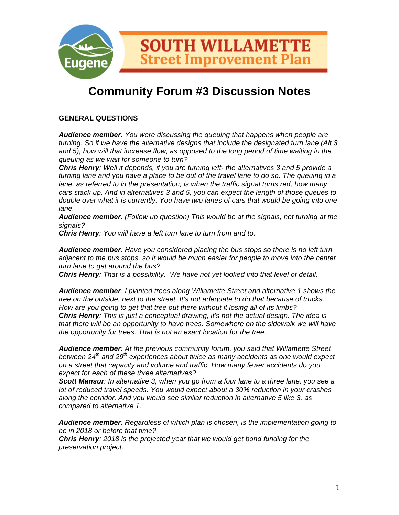

# **Community Forum #3 Discussion Notes**

## **GENERAL QUESTIONS**

*Audience member: You were discussing the queuing that happens when people are turning. So if we have the alternative designs that include the designated turn lane (Alt 3 and 5), how will that increase flow, as opposed to the long period of time waiting in the queuing as we wait for someone to turn?*

*Chris Henry: Well it depends, if you are turning left- the alternatives 3 and 5 provide a turning lane and you have a place to be out of the travel lane to do so. The queuing in a lane, as referred to in the presentation, is when the traffic signal turns red, how many cars stack up. And in alternatives 3 and 5, you can expect the length of those queues to double over what it is currently. You have two lanes of cars that would be going into one lane.* 

*Audience member: (Follow up question) This would be at the signals, not turning at the signals?*

*Chris Henry: You will have a left turn lane to turn from and to.* 

*Audience member: Have you considered placing the bus stops so there is no left turn adjacent to the bus stops, so it would be much easier for people to move into the center turn lane to get around the bus?*

*Chris Henry: That is a possibility. We have not yet looked into that level of detail.* 

*Audience member: I planted trees along Willamette Street and alternative 1 shows the tree on the outside, next to the street. It's not adequate to do that because of trucks. How are you going to get that tree out there without it losing all of its limbs? Chris Henry: This is just a conceptual drawing; it's not the actual design. The idea is that there will be an opportunity to have trees. Somewhere on the sidewalk we will have the opportunity for trees. That is not an exact location for the tree.*

*Audience member: At the previous community forum, you said that Willamette Street between 24th and 29th experiences about twice as many accidents as one would expect on a street that capacity and volume and traffic. How many fewer accidents do you expect for each of these three alternatives?*

*Scott Mansur: In alternative 3, when you go from a four lane to a three lane, you see a lot of reduced travel speeds. You would expect about a 30% reduction in your crashes along the corridor. And you would see similar reduction in alternative 5 like 3, as compared to alternative 1.* 

*Audience member: Regardless of which plan is chosen, is the implementation going to be in 2018 or before that time?*

*Chris Henry: 2018 is the projected year that we would get bond funding for the preservation project.*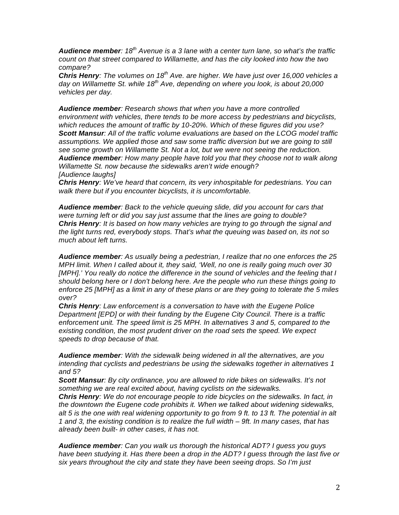*Audience member: 18th Avenue is a 3 lane with a center turn lane, so what's the traffic count on that street compared to Willamette, and has the city looked into how the two compare?*

*Chris Henry: The volumes on 18th Ave. are higher. We have just over 16,000 vehicles a day on Willamette St. while 18th Ave, depending on where you look, is about 20,000 vehicles per day.* 

*Audience member: Research shows that when you have a more controlled environment with vehicles, there tends to be more access by pedestrians and bicyclists, which reduces the amount of traffic by 10-20%. Which of these figures did you use? Scott Mansur: All of the traffic volume evaluations are based on the LCOG model traffic assumptions. We applied those and saw some traffic diversion but we are going to still see some growth on Willamette St. Not a lot, but we were not seeing the reduction. Audience member: How many people have told you that they choose not to walk along Willamette St. now because the sidewalks aren't wide enough? [Audience laughs]*

*Chris Henry: We've heard that concern, its very inhospitable for pedestrians. You can walk there but if you encounter bicyclists, it is uncomfortable.* 

*Audience member: Back to the vehicle queuing slide, did you account for cars that were turning left or did you say just assume that the lines are going to double? Chris Henry: It is based on how many vehicles are trying to go through the signal and the light turns red, everybody stops. That's what the queuing was based on, its not so much about left turns.* 

*Audience member: As usually being a pedestrian, I realize that no one enforces the 25 MPH limit. When I called about it, they said, 'Well, no one is really going much over 30 [MPH].' You really do notice the difference in the sound of vehicles and the feeling that I should belong here or I don't belong here. Are the people who run these things going to enforce 25 [MPH] as a limit in any of these plans or are they going to tolerate the 5 miles over?*

*Chris Henry: Law enforcement is a conversation to have with the Eugene Police Department [EPD] or with their funding by the Eugene City Council. There is a traffic enforcement unit. The speed limit is 25 MPH. In alternatives 3 and 5, compared to the existing condition, the most prudent driver on the road sets the speed. We expect speeds to drop because of that.* 

*Audience member: With the sidewalk being widened in all the alternatives, are you intending that cyclists and pedestrians be using the sidewalks together in alternatives 1 and 5?*

*Scott Mansur: By city ordinance, you are allowed to ride bikes on sidewalks. It's not something we are real excited about, having cyclists on the sidewalks.* 

*Chris Henry: We do not encourage people to ride bicycles on the sidewalks. In fact, in the downtown the Eugene code prohibits it. When we talked about widening sidewalks, alt 5 is the one with real widening opportunity to go from 9 ft. to 13 ft. The potential in alt 1 and 3, the existing condition is to realize the full width – 9ft. In many cases, that has already been built- in other cases, it has not.* 

*Audience member: Can you walk us thorough the historical ADT? I guess you guys have been studying it. Has there been a drop in the ADT? I guess through the last five or six years throughout the city and state they have been seeing drops. So I'm just*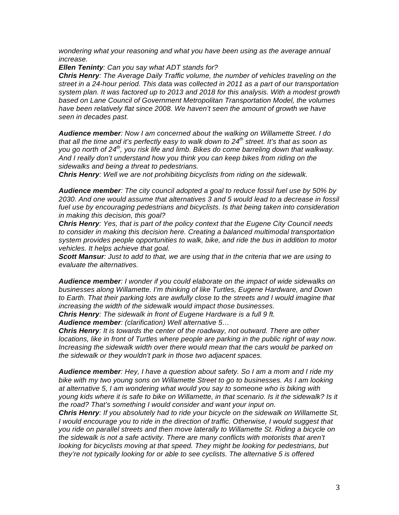*wondering what your reasoning and what you have been using as the average annual increase.* 

*Ellen Teninty: Can you say what ADT stands for?*

*Chris Henry: The Average Daily Traffic volume, the number of vehicles traveling on the street in a 24-hour period. This data was collected in 2011 as a part of our transportation system plan. It was factored up to 2013 and 2018 for this analysis. With a modest growth based on Lane Council of Government Metropolitan Transportation Model, the volumes*  have been relatively flat since 2008. We haven't seen the amount of growth we have *seen in decades past.* 

*Audience member: Now I am concerned about the walking on Willamette Street. I do that all the time and it's perfectly easy to walk down to 24th street. It's that as soon as you go north of 24th, you risk life and limb. Bikes do come barreling down that walkway. And I really don't understand how you think you can keep bikes from riding on the sidewalks and being a threat to pedestrians.*

*Chris Henry: Well we are not prohibiting bicyclists from riding on the sidewalk.*

*Audience member: The city council adopted a goal to reduce fossil fuel use by 50% by 2030. And one would assume that alternatives 3 and 5 would lead to a decrease in fossil fuel use by encouraging pedestrians and bicyclists. Is that being taken into consideration in making this decision, this goal?*

*Chris Henry: Yes, that is part of the policy context that the Eugene City Council needs to consider in making this decision here. Creating a balanced multimodal transportation system provides people opportunities to walk, bike, and ride the bus in addition to motor vehicles. It helps achieve that goal.* 

*Scott Mansur: Just to add to that, we are using that in the criteria that we are using to evaluate the alternatives.* 

*Audience member: I wonder if you could elaborate on the impact of wide sidewalks on businesses along Willamette. I'm thinking of like Turtles, Eugene Hardware, and Down*  to Earth. That their parking lots are awfully close to the streets and I would imagine that *increasing the width of the sidewalk would impact those businesses.*

*Chris Henry: The sidewalk in front of Eugene Hardware is a full 9 ft.*

*Audience member: (clarification) Well alternative 5…*

*Chris Henry: It is towards the center of the roadway, not outward. There are other locations, like in front of Turtles where people are parking in the public right of way now. Increasing the sidewalk width over there would mean that the cars would be parked on the sidewalk or they wouldn't park in those two adjacent spaces.* 

*Audience member: Hey, I have a question about safety. So I am a mom and I ride my bike with my two young sons on Willamette Street to go to businesses. As I am looking at alternative 5, I am wondering what would you say to someone who is biking with young kids where it is safe to bike on Willamette, in that scenario. Is it the sidewalk? Is it the road? That's something I would consider and want your input on.* 

*Chris Henry: If you absolutely had to ride your bicycle on the sidewalk on Willamette St, I* would encourage you to ride in the direction of traffic. Otherwise, I would suggest that *you ride on parallel streets and then move laterally to Willamette St. Riding a bicycle on the sidewalk is not a safe activity. There are many conflicts with motorists that aren't looking for bicyclists moving at that speed. They might be looking for pedestrians, but they're not typically looking for or able to see cyclists. The alternative 5 is offered*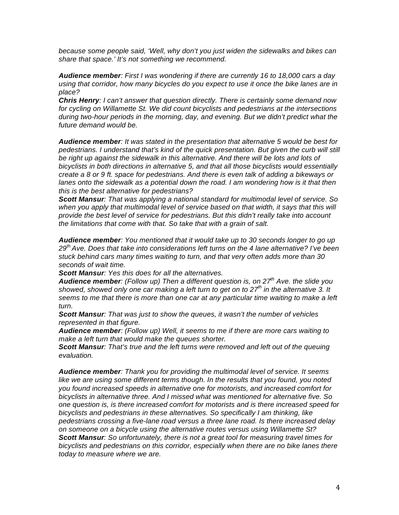*because some people said, 'Well, why don't you just widen the sidewalks and bikes can share that space.' It's not something we recommend.* 

*Audience member: First I was wondering if there are currently 16 to 18,000 cars a day using that corridor, how many bicycles do you expect to use it once the bike lanes are in place?*

*Chris Henry: I can't answer that question directly. There is certainly some demand now for cycling on Willamette St. We did count bicyclists and pedestrians at the intersections during two-hour periods in the morning, day, and evening. But we didn't predict what the future demand would be.* 

*Audience member: It was stated in the presentation that alternative 5 would be best for pedestrians. I understand that's kind of the quick presentation. But given the curb will still*  be right up against the sidewalk in this alternative. And there will be lots and lots of *bicyclists in both directions in alternative 5, and that all those bicyclists would essentially create a 8 or 9 ft. space for pedestrians. And there is even talk of adding a bikeways or*  lanes onto the sidewalk as a potential down the road. I am wondering how is it that then *this is the best alternative for pedestrians?*

*Scott Mansur: That was applying a national standard for multimodal level of service. So*  when you apply that multimodal level of service based on that width, it says that this will *provide the best level of service for pedestrians. But this didn't really take into account the limitations that come with that. So take that with a grain of salt.* 

*Audience member: You mentioned that it would take up to 30 seconds longer to go up 29th Ave. Does that take into considerations left turns on the 4 lane alternative? I've been stuck behind cars many times waiting to turn, and that very often adds more than 30 seconds of wait time.*

*Scott Mansur: Yes this does for all the alternatives.*

*Audience member: (Follow up) Then a different question is, on 27th Ave. the slide you showed, showed only one car making a left turn to get on to 27th in the alternative 3. It seems to me that there is more than one car at any particular time waiting to make a left turn.* 

*Scott Mansur: That was just to show the queues, it wasn't the number of vehicles represented in that figure.* 

*Audience member: (Follow up) Well, it seems to me if there are more cars waiting to make a left turn that would make the queues shorter.*

*Scott Mansur: That's true and the left turns were removed and left out of the queuing evaluation.*

*Audience member: Thank you for providing the multimodal level of service. It seems like we are using some different terms though. In the results that you found, you noted you found increased speeds in alternative one for motorists, and increased comfort for bicyclists in alternative three. And I missed what was mentioned for alternative five. So one question is, is there increased comfort for motorists and is there increased speed for bicyclists and pedestrians in these alternatives. So specifically I am thinking, like pedestrians crossing a five-lane road versus a three lane road. Is there increased delay on someone on a bicycle using the alternative routes versus using Willamette St? Scott Mansur: So unfortunately, there is not a great tool for measuring travel times for bicyclists and pedestrians on this corridor, especially when there are no bike lanes there today to measure where we are.*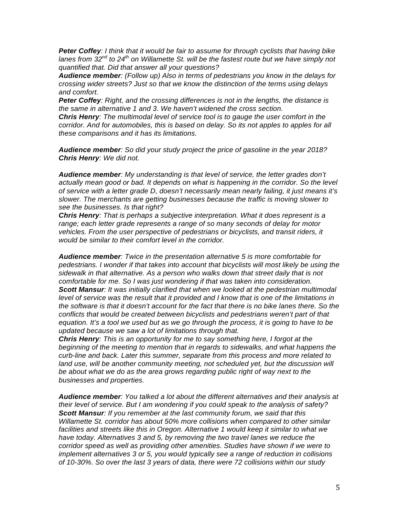*Peter Coffey: I think that it would be fair to assume for through cyclists that having bike*  lanes from 32<sup>nd</sup> to 24<sup>th</sup> on Willamette St. will be the fastest route but we have simply not *quantified that. Did that answer all your questions?*

*Audience member: (Follow up) Also in terms of pedestrians you know in the delays for crossing wider streets? Just so that we know the distinction of the terms using delays and comfort.* 

*Peter Coffey: Right, and the crossing differences is not in the lengths, the distance is the same in alternative 1 and 3. We haven't widened the cross section.*

*Chris Henry: The multimodal level of service tool is to gauge the user comfort in the corridor. And for automobiles, this is based on delay. So its not apples to apples for all these comparisons and it has its limitations.* 

*Audience member: So did your study project the price of gasoline in the year 2018? Chris Henry: We did not.*

*Audience member: My understanding is that level of service, the letter grades don't*  actually mean good or bad. It depends on what is happening in the corridor. So the level *of service with a letter grade D, doesn't necessarily mean nearly failing, it just means it's slower. The merchants are getting businesses because the traffic is moving slower to see the businesses. Is that right?*

*Chris Henry: That is perhaps a subjective interpretation. What it does represent is a range; each letter grade represents a range of so many seconds of delay for motor vehicles. From the user perspective of pedestrians or bicyclists, and transit riders, it would be similar to their comfort level in the corridor.* 

*Audience member: Twice in the presentation alternative 5 is more comfortable for pedestrians. I wonder if that takes into account that bicyclists will most likely be using the sidewalk in that alternative. As a person who walks down that street daily that is not comfortable for me. So I was just wondering if that was taken into consideration. Scott Mansur: It was initially clarified that when we looked at the pedestrian multimodal level of service was the result that it provided and I know that is one of the limitations in the software is that it doesn't account for the fact that there is no bike lanes there. So the conflicts that would be created between bicyclists and pedestrians weren't part of that equation. It's a tool we used but as we go through the process, it is going to have to be updated because we saw a lot of limitations through that.* 

*Chris Henry: This is an opportunity for me to say something here, I forgot at the beginning of the meeting to mention that in regards to sidewalks, and what happens the curb-line and back. Later this summer, separate from this process and more related to land use, will be another community meeting, not scheduled yet, but the discussion will be about what we do as the area grows regarding public right of way next to the businesses and properties.* 

*Audience member: You talked a lot about the different alternatives and their analysis at their level of service. But I am wondering if you could speak to the analysis of safety? Scott Mansur: If you remember at the last community forum, we said that this Willamette St. corridor has about 50% more collisions when compared to other similar*  facilities and streets like this in Oregon. Alternative 1 would keep it similar to what we *have today. Alternatives 3 and 5, by removing the two travel lanes we reduce the corridor speed as well as providing other amenities. Studies have shown if we were to implement alternatives 3 or 5, you would typically see a range of reduction in collisions of 10-30%. So over the last 3 years of data, there were 72 collisions within our study*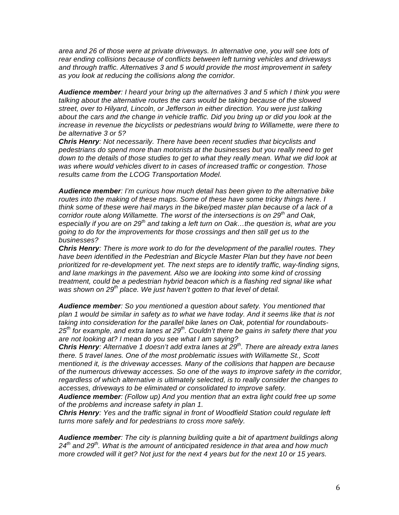*area and 26 of those were at private driveways. In alternative one, you will see lots of rear ending collisions because of conflicts between left turning vehicles and driveways and through traffic. Alternatives 3 and 5 would provide the most improvement in safety as you look at reducing the collisions along the corridor.* 

*Audience member: I heard your bring up the alternatives 3 and 5 which I think you were talking about the alternative routes the cars would be taking because of the slowed street, over to Hilyard, Lincoln, or Jefferson in either direction. You were just talking about the cars and the change in vehicle traffic. Did you bring up or did you look at the increase in revenue the bicyclists or pedestrians would bring to Willamette, were there to be alternative 3 or 5?*

*Chris Henry: Not necessarily. There have been recent studies that bicyclists and pedestrians do spend more than motorists at the businesses but you really need to get down to the details of those studies to get to what they really mean. What we did look at was where would vehicles divert to in cases of increased traffic or congestion. Those results came from the LCOG Transportation Model.* 

*Audience member: I'm curious how much detail has been given to the alternative bike routes into the making of these maps. Some of these have some tricky things here. I think some of these were hail marys in the bike/ped master plan because of a lack of a corridor route along Willamette. The worst of the intersections is on 29th and Oak, especially if you are on 29th and taking a left turn on Oak…the question is, what are you going to do for the improvements for those crossings and then still get us to the businesses?*

*Chris Henry: There is more work to do for the development of the parallel routes. They have been identified in the Pedestrian and Bicycle Master Plan but they have not been prioritized for re-development yet. The next steps are to identify traffic, way-finding signs, and lane markings in the pavement. Also we are looking into some kind of crossing treatment, could be a pedestrian hybrid beacon which is a flashing red signal like what was shown on 29th place. We just haven't gotten to that level of detail.*

*Audience member: So you mentioned a question about safety. You mentioned that plan 1 would be similar in safety as to what we have today. And it seems like that is not taking into consideration for the parallel bike lanes on Oak, potential for roundabouts-25th for example, and extra lanes at 29th. Couldn't there be gains in safety there that you are not looking at? I mean do you see what I am saying?*

*Chris Henry: Alternative 1 doesn't add extra lanes at 29th. There are already extra lanes there. 5 travel lanes. One of the most problematic issues with Willamette St., Scott mentioned it, is the driveway accesses. Many of the collisions that happen are because of the numerous driveway accesses. So one of the ways to improve safety in the corridor, regardless of which alternative is ultimately selected, is to really consider the changes to accesses, driveways to be eliminated or consolidated to improve safety.* 

*Audience member: (Follow up) And you mention that an extra light could free up some of the problems and increase safety in plan 1.*

*Chris Henry: Yes and the traffic signal in front of Woodfield Station could regulate left turns more safely and for pedestrians to cross more safely.* 

*Audience member: The city is planning building quite a bit of apartment buildings along*  24<sup>th</sup> and 29<sup>th</sup>. What is the amount of anticipated residence in that area and how much *more crowded will it get? Not just for the next 4 years but for the next 10 or 15 years.*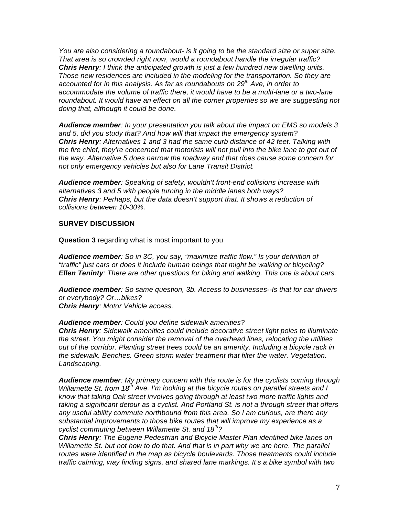*You are also considering a roundabout- is it going to be the standard size or super size. That area is so crowded right now, would a roundabout handle the irregular traffic? Chris Henry: I think the anticipated growth is just a few hundred new dwelling units. Those new residences are included in the modeling for the transportation. So they are accounted for in this analysis. As far as roundabouts on 29th Ave, in order to accommodate the volume of traffic there, it would have to be a multi-lane or a two-lane roundabout. It would have an effect on all the corner properties so we are suggesting not doing that, although it could be done.* 

*Audience member: In your presentation you talk about the impact on EMS so models 3 and 5, did you study that? And how will that impact the emergency system? Chris Henry: Alternatives 1 and 3 had the same curb distance of 42 feet. Talking with the fire chief, they're concerned that motorists will not pull into the bike lane to get out of the way. Alternative 5 does narrow the roadway and that does cause some concern for not only emergency vehicles but also for Lane Transit District.* 

*Audience member: Speaking of safety, wouldn't front-end collisions increase with alternatives 3 and 5 with people turning in the middle lanes both ways? Chris Henry: Perhaps, but the data doesn't support that. It shows a reduction of collisions between 10-30%.*

### **SURVEY DISCUSSION**

**Question 3** regarding what is most important to you

*Audience member: So in 3C, you say, "maximize traffic flow." Is your definition of "traffic" just cars or does it include human beings that might be walking or bicycling? Ellen Teninty: There are other questions for biking and walking. This one is about cars.*

*Audience member: So same question, 3b. Access to businesses--Is that for car drivers or everybody? Or…bikes?*

*Chris Henry: Motor Vehicle access.* 

#### *Audience member: Could you define sidewalk amenities?*

*Chris Henry: Sidewalk amenities could include decorative street light poles to illuminate the street. You might consider the removal of the overhead lines, relocating the utilities out of the corridor. Planting street trees could be an amenity. Including a bicycle rack in the sidewalk. Benches. Green storm water treatment that filter the water. Vegetation. Landscaping.*

*Audience member: My primary concern with this route is for the cyclists coming through Willamette St. from 18th Ave. I'm looking at the bicycle routes on parallel streets and I know that taking Oak street involves going through at least two more traffic lights and taking a significant detour as a cyclist. And Portland St. is not a through street that offers any useful ability commute northbound from this area. So I am curious, are there any substantial improvements to those bike routes that will improve my experience as a cyclist commuting between Willamette St. and 18th?* 

*Chris Henry: The Eugene Pedestrian and Bicycle Master Plan identified bike lanes on Willamette St. but not how to do that. And that is in part why we are here. The parallel routes were identified in the map as bicycle boulevards. Those treatments could include traffic calming, way finding signs, and shared lane markings. It's a bike symbol with two*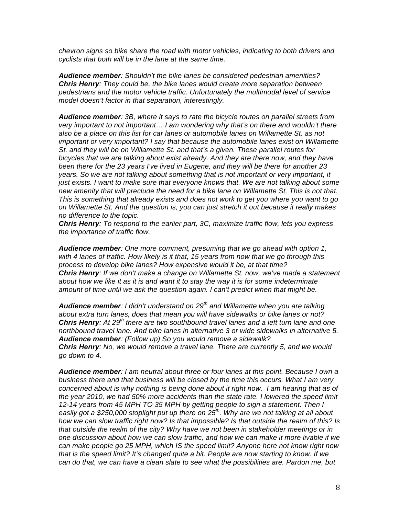*chevron signs so bike share the road with motor vehicles, indicating to both drivers and cyclists that both will be in the lane at the same time.* 

*Audience member: Shouldn't the bike lanes be considered pedestrian amenities? Chris Henry: They could be, the bike lanes would create more separation between pedestrians and the motor vehicle traffic. Unfortunately the multimodal level of service model doesn't factor in that separation, interestingly.*

*Audience member: 3B, where it says to rate the bicycle routes on parallel streets from very important to not important… I am wondering why that's on there and wouldn't there also be a place on this list for car lanes or automobile lanes on Willamette St. as not important or very important? I say that because the automobile lanes exist on Willamette St. and they will be on Willamette St. and that's a given. These parallel routes for bicycles that we are talking about exist already. And they are there now, and they have been there for the 23 years I've lived in Eugene, and they will be there for another 23 years. So we are not talking about something that is not important or very important, it just exists. I want to make sure that everyone knows that. We are not talking about some new amenity that will preclude the need for a bike lane on Willamette St. This is not that. This is something that already exists and does not work to get you where you want to go on Willamette St. And the question is, you can just stretch it out because it really makes no difference to the topic.*

*Chris Henry: To respond to the earlier part, 3C, maximize traffic flow, lets you express the importance of traffic flow.*

*Audience member: One more comment, presuming that we go ahead with option 1, with 4 lanes of traffic. How likely is it that, 15 years from now that we go through this process to develop bike lanes? How expensive would it be, at that time? Chris Henry: If we don't make a change on Willamette St. now, we've made a statement about how we like it as it is and want it to stay the way it is for some indeterminate amount of time until we ask the question again. I can't predict when that might be.* 

*Audience member: I didn't understand on 29th and Willamette when you are talking about extra turn lanes, does that mean you will have sidewalks or bike lanes or not? Chris Henry: At 29th there are two southbound travel lanes and a left turn lane and one northbound travel lane. And bike lanes in alternative 3 or wide sidewalks in alternative 5. Audience member: (Follow up) So you would remove a sidewalk? Chris Henry: No, we would remove a travel lane. There are currently 5, and we would go down to 4.* 

*Audience member: I am neutral about three or four lanes at this point. Because I own a business there and that business will be closed by the time this occurs. What I am very concerned about is why nothing is being done about it right now. I am hearing that as of the year 2010, we had 50% more accidents than the state rate. I lowered the speed limit 12-14 years from 45 MPH TO 35 MPH by getting people to sign a statement. Then I easily got a \$250,000 stoplight put up there on 25th. Why are we not talking at all about how we can slow traffic right now? Is that impossible? Is that outside the realm of this? Is that outside the realm of the city? Why have we not been in stakeholder meetings or in one discussion about how we can slow traffic, and how we can make it more livable if we can make people go 25 MPH, which IS the speed limit? Anyone here not know right now that is the speed limit? It's changed quite a bit. People are now starting to know. If we can do that, we can have a clean slate to see what the possibilities are. Pardon me, but*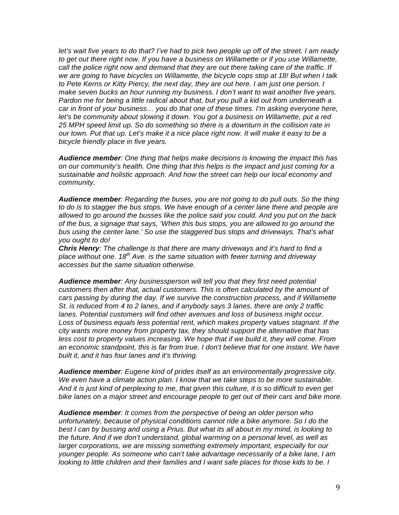*let's wait five years to do that? I've had to pick two people up off of the street. I am ready to get out there right now. If you have a business on Willamette or if you use Willamette, call the police right now and demand that they are out there taking care of the traffic. If we are going to have bicycles on Willamette, the bicycle cops stop at 18! But when I talk to Pete Kerns or Kitty Piercy, the next day, they are out here. I am just one person. I make seven bucks an hour running my business. I don't want to wait another five years. Pardon me for being a little radical about that, but you pull a kid out from underneath a car in front of your business… you do that one of these times. I'm asking everyone here,*  let's be community about slowing it down. You got a business on Willamette, put a red *25 MPH speed limit up. So do something so there is a downturn in the collision rate in our town. Put that up. Let's make it a nice place right now. It will make it easy to be a bicycle friendly place in five years.* 

*Audience member: One thing that helps make decisions is knowing the impact this has on our community's health. One thing that this helps is the impact and just coming for a sustainable and holistic approach. And how the street can help our local economy and community.*

*Audience member: Regarding the buses, you are not going to do pull outs. So the thing to do is to stagger the bus stops. We have enough of a center lane there and people are allowed to go around the busses like the police said you could. And you put on the back of the bus, a signage that says, 'When this bus stops, you are allowed to go around the bus using the center lane.' So use the staggered bus stops and driveways. That's what you ought to do!*

*Chris Henry: The challenge is that there are many driveways and it's hard to find a place without one. 18th Ave. is the same situation with fewer turning and driveway accesses but the same situation otherwise.* 

*Audience member: Any businessperson will tell you that they first need potential customers then after that, actual customers. This is often calculated by the amount of cars passing by during the day. If we survive the construction process, and if Willamette St. is reduced from 4 to 2 lanes, and if anybody says 3 lanes, there are only 2 traffic lanes. Potential customers will find other avenues and loss of business might occur. Loss of business equals less potential rent, which makes property values stagnant. If the city wants more money from property tax, they should support the alternative that has*  less cost to property values increasing. We hope that if we build it, they will come. From *an economic standpoint, this is far from true. I don't believe that for one instant. We have built it, and it has four lanes and it's thriving.*

*Audience member: Eugene kind of prides itself as an environmentally progressive city. We even have a climate action plan. I know that we take steps to be more sustainable. And it is just kind of perplexing to me, that given this culture, it is so difficult to even get bike lanes on a major street and encourage people to get out of their cars and bike more.*

*Audience member: It comes from the perspective of being an older person who unfortunately, because of physical conditions cannot ride a bike anymore. So I do the best I can by bussing and using a Prius. But what its all about in my mind, is looking to the future. And if we don't understand, global warming on a personal level, as well as larger corporations, we are missing something extremely important, especially for our younger people. As someone who can't take advantage necessarily of a bike lane, I am looking to little children and their families and I want safe places for those kids to be. I*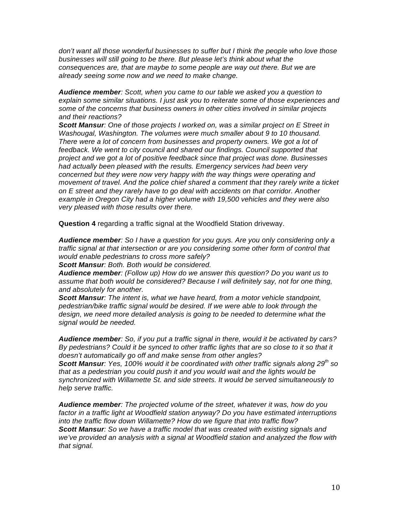*don't want all those wonderful businesses to suffer but I think the people who love those businesses will still going to be there. But please let's think about what the consequences are, that are maybe to some people are way out there. But we are already seeing some now and we need to make change.* 

*Audience member: Scott, when you came to our table we asked you a question to explain some similar situations. I just ask you to reiterate some of those experiences and some of the concerns that business owners in other cities involved in similar projects and their reactions?*

*Scott Mansur: One of those projects I worked on, was a similar project on E Street in Washougal, Washington. The volumes were much smaller about 9 to 10 thousand. There were a lot of concern from businesses and property owners. We got a lot of feedback. We went to city council and shared our findings. Council supported that project and we got a lot of positive feedback since that project was done. Businesses had actually been pleased with the results. Emergency services had been very concerned but they were now very happy with the way things were operating and movement of travel. And the police chief shared a comment that they rarely write a ticket on E street and they rarely have to go deal with accidents on that corridor. Another example in Oregon City had a higher volume with 19,500 vehicles and they were also very pleased with those results over there.* 

**Question 4** regarding a traffic signal at the Woodfield Station driveway.

*Audience member: So I have a question for you guys. Are you only considering only a traffic signal at that intersection or are you considering some other form of control that would enable pedestrians to cross more safely?*

*Scott Mansur: Both. Both would be considered.* 

*Audience member: (Follow up) How do we answer this question? Do you want us to assume that both would be considered? Because I will definitely say, not for one thing, and absolutely for another.* 

*Scott Mansur: The intent is, what we have heard, from a motor vehicle standpoint, pedestrian/bike traffic signal would be desired. If we were able to look through the design, we need more detailed analysis is going to be needed to determine what the signal would be needed.* 

*Audience member: So, if you put a traffic signal in there, would it be activated by cars? By pedestrians? Could it be synced to other traffic lights that are so close to it so that it doesn't automatically go off and make sense from other angles?*

*Scott Mansur: Yes, 100% would it be coordinated with other traffic signals along 29th so that as a pedestrian you could push it and you would wait and the lights would be synchronized with Willamette St. and side streets. It would be served simultaneously to help serve traffic.* 

*Audience member: The projected volume of the street, whatever it was, how do you factor in a traffic light at Woodfield station anyway? Do you have estimated interruptions into the traffic flow down Willamette? How do we figure that into traffic flow? Scott Mansur: So we have a traffic model that was created with existing signals and we've provided an analysis with a signal at Woodfield station and analyzed the flow with that signal.*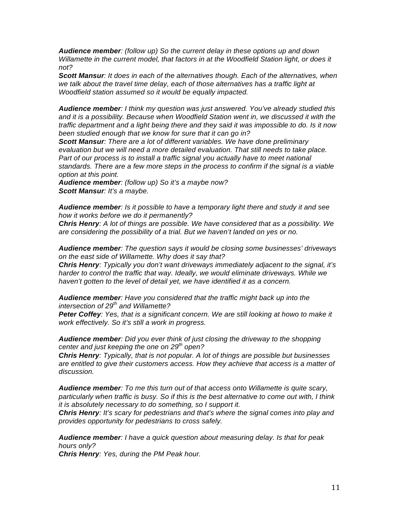*Audience member: (follow up) So the current delay in these options up and down Willamette in the current model, that factors in at the Woodfield Station light, or does it not?*

*Scott Mansur: It does in each of the alternatives though. Each of the alternatives, when we talk about the travel time delay, each of those alternatives has a traffic light at Woodfield station assumed so it would be equally impacted.* 

*Audience member: I think my question was just answered. You've already studied this and it is a possibility. Because when Woodfield Station went in, we discussed it with the traffic department and a light being there and they said it was impossible to do. Is it now been studied enough that we know for sure that it can go in?*

*Scott Mansur: There are a lot of different variables. We have done preliminary evaluation but we will need a more detailed evaluation. That still needs to take place. Part of our process is to install a traffic signal you actually have to meet national standards. There are a few more steps in the process to confirm if the signal is a viable option at this point.* 

*Audience member: (follow up) So it's a maybe now? Scott Mansur: It's a maybe.*

*Audience member: Is it possible to have a temporary light there and study it and see how it works before we do it permanently?*

*Chris Henry: A lot of things are possible. We have considered that as a possibility. We are considering the possibility of a trial. But we haven't landed on yes or no.* 

*Audience member: The question says it would be closing some businesses' driveways on the east side of Willamette. Why does it say that?*

*Chris Henry: Typically you don't want driveways immediately adjacent to the signal, it's harder to control the traffic that way. Ideally, we would eliminate driveways. While we haven't gotten to the level of detail yet, we have identified it as a concern.*

*Audience member: Have you considered that the traffic might back up into the intersection of 29th and Willamette?*

*Peter Coffey: Yes, that is a significant concern. We are still looking at howo to make it work effectively. So it's still a work in progress.*

*Audience member: Did you ever think of just closing the driveway to the shopping center and just keeping the one on 29th open?*

*Chris Henry: Typically, that is not popular. A lot of things are possible but businesses are entitled to give their customers access. How they achieve that access is a matter of discussion.*

*Audience member: To me this turn out of that access onto Willamette is quite scary, particularly when traffic is busy. So if this is the best alternative to come out with, I think it is absolutely necessary to do something, so I support it.* 

*Chris Henry: It's scary for pedestrians and that's where the signal comes into play and provides opportunity for pedestrians to cross safely.* 

*Audience member: I have a quick question about measuring delay. Is that for peak hours only?*

*Chris Henry: Yes, during the PM Peak hour.*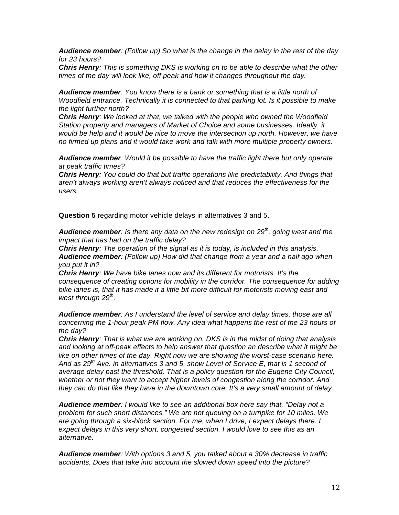*Audience member: (Follow up) So what is the change in the delay in the rest of the day for 23 hours?*

*Chris Henry: This is something DKS is working on to be able to describe what the other times of the day will look like, off peak and how it changes throughout the day.*

*Audience member: You know there is a bank or something that is a little north of Woodfield entrance. Technically it is connected to that parking lot. Is it possible to make the light further north?*

*Chris Henry: We looked at that, we talked with the people who owned the Woodfield Station property and managers of Market of Choice and some businesses. Ideally, it would be help and it would be nice to move the intersection up north. However, we have no firmed up plans and it would take work and talk with more multiple property owners.* 

*Audience member: Would it be possible to have the traffic light there but only operate at peak traffic times?*

*Chris Henry: You could do that but traffic operations like predictability. And things that aren't always working aren't always noticed and that reduces the effectiveness for the users.* 

**Question 5** regarding motor vehicle delays in alternatives 3 and 5.

*Audience member: Is there any data on the new redesign on 29th, going west and the impact that has had on the traffic delay?*

*Chris Henry: The operation of the signal as it is today, is included in this analysis. Audience member: (Follow up) How did that change from a year and a half ago when you put it in?*

*Chris Henry: We have bike lanes now and its different for motorists. It's the consequence of creating options for mobility in the corridor. The consequence for adding bike lanes is, that it has made it a little bit more difficult for motorists moving east and west through 29th.* 

*Audience member: As I understand the level of service and delay times, those are all concerning the 1-hour peak PM flow. Any idea what happens the rest of the 23 hours of the day?*

*Chris Henry: That is what we are working on. DKS is in the midst of doing that analysis and looking at off-peak effects to help answer that question an describe what it might be like on other times of the day. Right now we are showing the worst-case scenario here. And as 29th Ave. in alternatives 3 and 5, show Level of Service E, that is 1 second of average delay past the threshold. That is a policy question for the Eugene City Council, whether or not they want to accept higher levels of congestion along the corridor. And they can do that like they have in the downtown core. It's a very small amount of delay.*

*Audience member: I would like to see an additional box here say that, "Delay not a problem for such short distances." We are not queuing on a turnpike for 10 miles. We are going through a six-block section. For me, when I drive, I expect delays there. I expect delays in this very short, congested section. I would love to see this as an alternative.*

*Audience member: With options 3 and 5, you talked about a 30% decrease in traffic accidents. Does that take into account the slowed down speed into the picture?*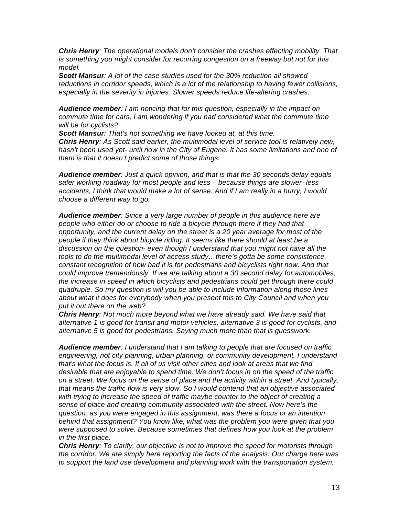*Chris Henry: The operational models don't consider the crashes effecting mobility. That is something you might consider for recurring congestion on a freeway but not for this model.* 

*Scott Mansur: A lot of the case studies used for the 30% reduction all showed reductions in corridor speeds, which is a lot of the relationship to having fewer collisions, especially in the severity in injuries. Slower speeds reduce life-altering crashes.*

*Audience member: I am noticing that for this question, especially in the impact on commute time for cars, I am wondering if you had considered what the commute time will be for cyclists?*

*Scott Mansur: That's not something we have looked at, at this time. Chris Henry: As Scott said earlier, the multimodal level of service tool is relatively new, hasn't been used yet- until now in the City of Eugene. It has some limitations and one of them is that it doesn't predict some of those things.* 

*Audience member: Just a quick opinion, and that is that the 30 seconds delay equals safer working roadway for most people and less – because things are slower- less accidents, I think that would make a lot of sense. And if I am really in a hurry, I would choose a different way to go.* 

*Audience member: Since a very large number of people in this audience here are people who either do or choose to ride a bicycle through there if they had that opportunity, and the current delay on the street is a 20 year average for most of the people if they think about bicycle riding. It seems like there should at least be a discussion on the question- even though I understand that you might not have all the tools to do the multimodal level of access study…there's gotta be some consistence, constant recognition of how bad it is for pedestrians and bicyclists right now. And that could improve tremendously. If we are talking about a 30 second delay for automobiles, the increase in speed in which bicyclists and pedestrians could get through there could quadruple. So my question is will you be able to include information along those lines about what it does for everybody when you present this to City Council and when you put it out there on the web?*

*Chris Henry: Not much more beyond what we have already said. We have said that alternative 1 is good for transit and motor vehicles, alternative 3 is good for cyclists, and alternative 5 is good for pedestrians. Saying much more than that is guesswork.*

*Audience member: I understand that I am talking to people that are focused on traffic engineering, not city planning, urban planning, or community development. I understand that's what the focus is. If all of us visit other cities and look at areas that we find desirable that are enjoyable to spend time. We don't focus in on the speed of the traffic on a street. We focus on the sense of place and the activity within a street. And typically, that means the traffic flow is very slow. So I would contend that an objective associated with trying to increase the speed of traffic maybe counter to the object of creating a sense of place and creating community associated with the street. Now here's the question: as you were engaged in this assignment, was there a focus or an intention behind that assignment? You know like, what was the problem you were given that you were supposed to solve. Because sometimes that defines how you look at the problem in the first place.*

*Chris Henry: To clarify, our objective is not to improve the speed for motorists through the corridor. We are simply here reporting the facts of the analysis. Our charge here was to support the land use development and planning work with the transportation system.*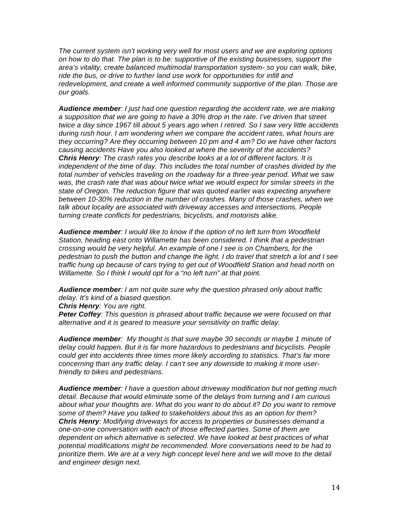*The current system isn't working very well for most users and we are exploring options on how to do that. The plan is to be: supportive of the existing businesses, support the area's vitality, create balanced multimodal transportation system- so you can walk, bike, ride the bus, or drive to further land use work for opportunities for infill and redevelopment, and create a well informed community supportive of the plan. Those are our goals.* 

*Audience member: I just had one question regarding the accident rate, we are making a supposition that we are going to have a 30% drop in the rate. I've driven that street twice a day since 1967 till about 5 years ago when I retired. So I saw very little accidents during rush hour. I am wondering when we compare the accident rates, what hours are they occurring? Are they occurring between 10 pm and 4 am? Do we have other factors causing accidents Have you also looked at where the severity of the accidents? Chris Henry: The crash rates you describe looks at a lot of different factors. It is independent of the time of day. This includes the total number of crashes divided by the total number of vehicles traveling on the roadway for a three-year period. What we saw was, the crash rate that was about twice what we would expect for similar streets in the state of Oregon. The reduction figure that was quoted earlier was expecting anywhere between 10-30% reduction in the number of crashes. Many of those crashes, when we talk about locality are associated with driveway accesses and intersections. People turning create conflicts for pedestrians, bicyclists, and motorists alike.* 

*Audience member: I would like to know if the option of no left turn from Woodfield Station, heading east onto Willamette has been considered. I think that a pedestrian crossing would be very helpful. An example of one I see is on Chambers, for the pedestrian to push the button and change the light. I do travel that stretch a lot and I see traffic hung up because of cars trying to get out of Woodfield Station and head north on Willamette. So I think I would opt for a "no left turn" at that point.* 

*Audience member: I am not quite sure why the question phrased only about traffic delay. It's kind of a biased question.*

*Chris Henry: You are right.*

*Peter Coffey: This question is phrased about traffic because we were focused on that alternative and it is geared to measure your sensitivity on traffic delay.* 

*Audience member: My thought is that sure maybe 30 seconds or maybe 1 minute of delay could happen. But it is far more hazardous to pedestrians and bicyclists. People could get into accidents three times more likely according to statistics. That's far more concerning than any traffic delay. I can't see any downside to making it more userfriendly to bikes and pedestrians.*

*Audience member: I have a question about driveway modification but not getting much detail. Because that would eliminate some of the delays from turning and I am curious about what your thoughts are. What do you want to do about it? Do you want to remove some of them? Have you talked to stakeholders about this as an option for them? Chris Henry: Modifying driveways for access to properties or businesses demand a one-on-one conversation with each of those effected parties. Some of them are dependent on which alternative is selected. We have looked at best practices of what potential modifications might be recommended. More conversations need to be had to prioritize them. We are at a very high concept level here and we will move to the detail and engineer design next.*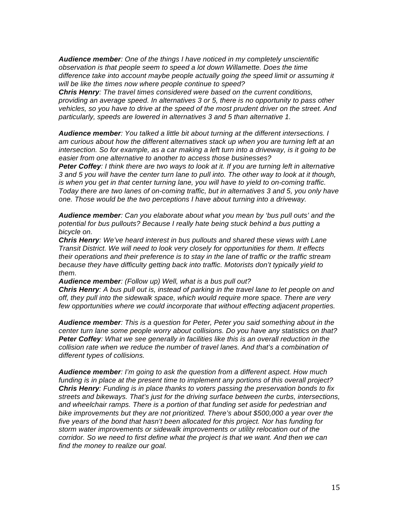*Audience member: One of the things I have noticed in my completely unscientific observation is that people seem to speed a lot down Willamette. Does the time difference take into account maybe people actually going the speed limit or assuming it will be like the times now where people continue to speed?*

*Chris Henry: The travel times considered were based on the current conditions, providing an average speed. In alternatives 3 or 5, there is no opportunity to pass other vehicles, so you have to drive at the speed of the most prudent driver on the street. And particularly, speeds are lowered in alternatives 3 and 5 than alternative 1.*

*Audience member: You talked a little bit about turning at the different intersections. I am curious about how the different alternatives stack up when you are turning left at an intersection. So for example, as a car making a left turn into a driveway, is it going to be easier from one alternative to another to access those businesses?*

*Peter Coffey: I think there are two ways to look at it. If you are turning left in alternative 3 and 5 you will have the center turn lane to pull into. The other way to look at it though, is when you get in that center turning lane, you will have to yield to on-coming traffic. Today there are two lanes of on-coming traffic, but in alternatives 3 and 5, you only have one. Those would be the two perceptions I have about turning into a driveway.* 

*Audience member: Can you elaborate about what you mean by 'bus pull outs' and the potential for bus pullouts? Because I really hate being stuck behind a bus putting a bicycle on.*

*Chris Henry: We've heard interest in bus pullouts and shared these views with Lane Transit District. We will need to look very closely for opportunities for them. It effects their operations and their preference is to stay in the lane of traffic or the traffic stream because they have difficulty getting back into traffic. Motorists don't typically yield to them.* 

*Audience member: (Follow up) Well, what is a bus pull out?*

*Chris Henry: A bus pull out is, instead of parking in the travel lane to let people on and off, they pull into the sidewalk space, which would require more space. There are very few opportunities where we could incorporate that without effecting adjacent properties.* 

*Audience member: This is a question for Peter, Peter you said something about in the center turn lane some people worry about collisions. Do you have any statistics on that? Peter Coffey: What we see generally in facilities like this is an overall reduction in the collision rate when we reduce the number of travel lanes. And that's a combination of different types of collisions.* 

*Audience member: I'm going to ask the question from a different aspect. How much funding is in place at the present time to implement any portions of this overall project? Chris Henry: Funding is in place thanks to voters passing the preservation bonds to fix streets and bikeways. That's just for the driving surface between the curbs, intersections, and wheelchair ramps. There is a portion of that funding set aside for pedestrian and bike improvements but they are not prioritized. There's about \$500,000 a year over the five years of the bond that hasn't been allocated for this project. Nor has funding for storm water improvements or sidewalk improvements or utility relocation out of the corridor. So we need to first define what the project is that we want. And then we can find the money to realize our goal.*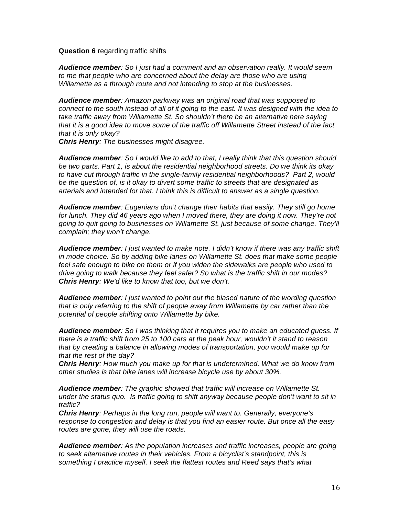#### **Question 6** regarding traffic shifts

*Audience member: So I just had a comment and an observation really. It would seem to me that people who are concerned about the delay are those who are using Willamette as a through route and not intending to stop at the businesses.* 

*Audience member: Amazon parkway was an original road that was supposed to connect to the south instead of all of it going to the east. It was designed with the idea to take traffic away from Willamette St. So shouldn't there be an alternative here saying that it is a good idea to move some of the traffic off Willamette Street instead of the fact that it is only okay?*

*Chris Henry: The businesses might disagree.*

*Audience member: So I would like to add to that, I really think that this question should be two parts. Part 1, is about the residential neighborhood streets. Do we think its okay to have cut through traffic in the single-family residential neighborhoods? Part 2, would be the question of, is it okay to divert some traffic to streets that are designated as arterials and intended for that. I think this is difficult to answer as a single question.*

*Audience member: Eugenians don't change their habits that easily. They still go home for lunch. They did 46 years ago when I moved there, they are doing it now. They're not going to quit going to businesses on Willamette St. just because of some change. They'll complain; they won't change.* 

*Audience member: I just wanted to make note. I didn't know if there was any traffic shift in mode choice. So by adding bike lanes on Willamette St. does that make some people feel safe enough to bike on them or if you widen the sidewalks are people who used to drive going to walk because they feel safer? So what is the traffic shift in our modes? Chris Henry: We'd like to know that too, but we don't.*

*Audience member: I just wanted to point out the biased nature of the wording question that is only referring to the shift of people away from Willamette by car rather than the potential of people shifting onto Willamette by bike.*

*Audience member: So I was thinking that it requires you to make an educated guess. If there is a traffic shift from 25 to 100 cars at the peak hour, wouldn't it stand to reason that by creating a balance in allowing modes of transportation, you would make up for that the rest of the day?*

*Chris Henry: How much you make up for that is undetermined. What we do know from other studies is that bike lanes will increase bicycle use by about 30%.* 

*Audience member: The graphic showed that traffic will increase on Willamette St. under the status quo. Is traffic going to shift anyway because people don't want to sit in traffic?*

*Chris Henry: Perhaps in the long run, people will want to. Generally, everyone's response to congestion and delay is that you find an easier route. But once all the easy routes are gone, they will use the roads.* 

*Audience member: As the population increases and traffic increases, people are going to seek alternative routes in their vehicles. From a bicyclist's standpoint, this is something I practice myself. I seek the flattest routes and Reed says that's what*